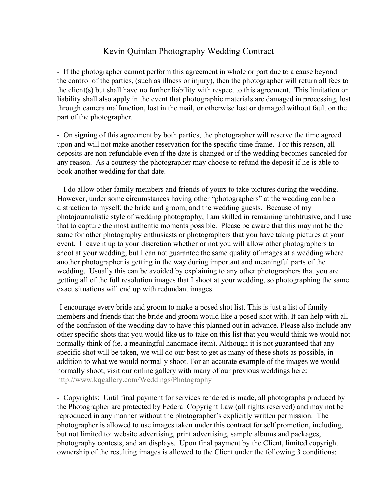## Kevin Quinlan Photography Wedding Contract

 If the photographer cannot perform this agreement in whole or part due to a cause beyond the control of the parties, (such as illness or injury), then the photographer will return all fees to the client(s) but shall have no further liability with respect to this agreement. This limitation on liability shall also apply in the event that photographic materials are damaged in processing, lost through camera malfunction, lost in the mail, or otherwise lost or damaged without fault on the part of the photographer.

 On signing of this agreement by both parties, the photographer will reserve the time agreed upon and will not make another reservation for the specific time frame. For this reason, all deposits are non-refundable even if the date is changed or if the wedding becomes canceled for any reason. As a courtesy the photographer may choose to refund the deposit if he is able to book another wedding for that date.

 I do allow other family members and friends of yours to take pictures during the wedding. However, under some circumstances having other "photographers" at the wedding can be a distraction to myself, the bride and groom, and the wedding guests. Because of my photojournalistic style of wedding photography, I am skilled in remaining unobtrusive, and I use that to capture the most authentic moments possible. Please be aware that this may not be the same for other photography enthusiasts or photographers that you have taking pictures at your event. I leave it up to your discretion whether or not you will allow other photographers to shoot at your wedding, but I can not guarantee the same quality of images at a wedding where another photographer is getting in the way during important and meaningful parts of the wedding. Usually this can be avoided by explaining to any other photographers that you are getting all of the full resolution images that I shoot at your wedding, so photographing the same exact situations will end up with redundant images.

I encourage every bride and groom to make a posed shot list. This is just a list of family members and friends that the bride and groom would like a posed shot with. It can help with all of the confusion of the wedding day to have this planned out in advance. Please also include any other specific shots that you would like us to take on this list that you would think we would not normally think of (ie. a meaningful handmade item). Although it is not guaranteed that any specific shot will be taken, we will do our best to get as many of these shots as possible, in addition to what we would normally shoot. For an accurate example of the images we would normally shoot, visit our online gallery with many of our previous weddings here: [http://www.kqgallery.com/Weddings/Photography](http://www.google.com/url?q=http%3A%2F%2Fwww.kqgallery.com%2FWeddings%2FPhotography&sa=D&sntz=1&usg=AFQjCNGqQpZaQnizqZaEd7SfKbQrQRueJw)

 Copyrights: Until final payment for services rendered is made, all photographs produced by the Photographer are protected by Federal Copyright Law (all rights reserved) and may not be reproduced in any manner without the photographer's explicitly written permission. The photographer is allowed to use images taken under this contract for self promotion, including, but not limited to: website advertising, print advertising, sample albums and packages, photography contests, and art displays. Upon final payment by the Client, limited copyright ownership of the resulting images is allowed to the Client under the following 3 conditions: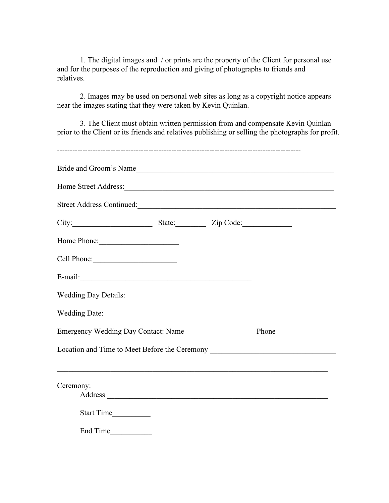1. The digital images and / or prints are the property of the Client for personal use and for the purposes of the reproduction and giving of photographs to friends and relatives.

2. Images may be used on personal web sites as long as a copyright notice appears near the images stating that they were taken by Kevin Quinlan.

3. The Client must obtain written permission from and compensate Kevin Quinlan prior to the Client or its friends and relatives publishing or selling the photographs for profit.

| Bride and Groom's Name                                                                                               |  |  |
|----------------------------------------------------------------------------------------------------------------------|--|--|
|                                                                                                                      |  |  |
| Street Address Continued:                                                                                            |  |  |
| City: State: Zip Code:                                                                                               |  |  |
| Home Phone: 1997                                                                                                     |  |  |
|                                                                                                                      |  |  |
| $E-mail:$                                                                                                            |  |  |
| <b>Wedding Day Details:</b>                                                                                          |  |  |
|                                                                                                                      |  |  |
|                                                                                                                      |  |  |
| Location and Time to Meet Before the Ceremony __________________________________                                     |  |  |
| <u> 1989 - Johann Barbara, marka masjid a shekara ta 1989 - An tsara ta 1989 - An tsara ta 1989 - An tsara ta 19</u> |  |  |
| Ceremony:                                                                                                            |  |  |
| Start Time                                                                                                           |  |  |
| End Time                                                                                                             |  |  |